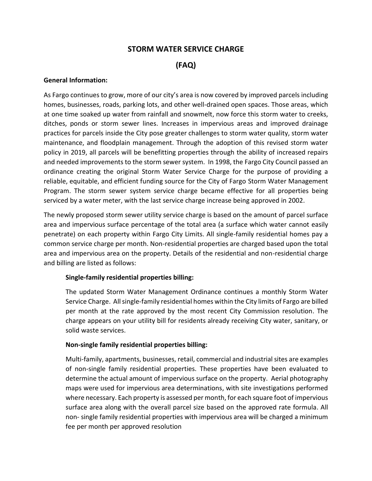## **STORM WATER SERVICE CHARGE**

# **(FAQ)**

#### **General Information:**

As Fargo continues to grow, more of our city's area is now covered by improved parcels including homes, businesses, roads, parking lots, and other well-drained open spaces. Those areas, which at one time soaked up water from rainfall and snowmelt, now force this storm water to creeks, ditches, ponds or storm sewer lines. Increases in impervious areas and improved drainage practices for parcels inside the City pose greater challenges to storm water quality, storm water maintenance, and floodplain management. Through the adoption of this revised storm water policy in 2019, all parcels will be benefitting properties through the ability of increased repairs and needed improvements to the storm sewer system. In 1998, the Fargo City Council passed an ordinance creating the original Storm Water Service Charge for the purpose of providing a reliable, equitable, and efficient funding source for the City of Fargo Storm Water Management Program. The storm sewer system service charge became effective for all properties being serviced by a water meter, with the last service charge increase being approved in 2002.

The newly proposed storm sewer utility service charge is based on the amount of parcel surface area and impervious surface percentage of the total area (a surface which water cannot easily penetrate) on each property within Fargo City Limits. All single-family residential homes pay a common service charge per month. Non-residential properties are charged based upon the total area and impervious area on the property. Details of the residential and non-residential charge and billing are listed as follows:

## **Single-family residential properties billing:**

The updated Storm Water Management Ordinance continues a monthly Storm Water Service Charge. All single-family residential homes within the City limits of Fargo are billed per month at the rate approved by the most recent City Commission resolution. The charge appears on your utility bill for residents already receiving City water, sanitary, or solid waste services.

#### **Non-single family residential properties billing:**

Multi-family, apartments, businesses, retail, commercial and industrial sites are examples of non-single family residential properties. These properties have been evaluated to determine the actual amount of impervious surface on the property. Aerial photography maps were used for impervious area determinations, with site investigations performed where necessary. Each property is assessed per month, for each square foot of impervious surface area along with the overall parcel size based on the approved rate formula. All non- single family residential properties with impervious area will be charged a minimum fee per month per approved resolution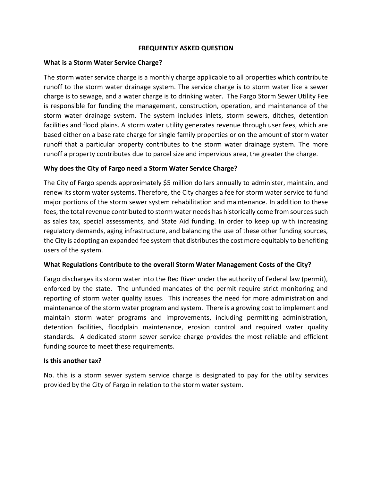#### **FREQUENTLY ASKED QUESTION**

#### **What is a Storm Water Service Charge?**

The storm water service charge is a monthly charge applicable to all properties which contribute runoff to the storm water drainage system. The service charge is to storm water like a sewer charge is to sewage, and a water charge is to drinking water. The Fargo Storm Sewer Utility Fee is responsible for funding the management, construction, operation, and maintenance of the storm water drainage system. The system includes inlets, storm sewers, ditches, detention facilities and flood plains. A storm water utility generates revenue through user fees, which are based either on a base rate charge for single family properties or on the amount of storm water runoff that a particular property contributes to the storm water drainage system. The more runoff a property contributes due to parcel size and impervious area, the greater the charge.

### **Why does the City of Fargo need a Storm Water Service Charge?**

The City of Fargo spends approximately \$5 million dollars annually to administer, maintain, and renew its storm water systems. Therefore, the City charges a fee for storm water service to fund major portions of the storm sewer system rehabilitation and maintenance. In addition to these fees, the total revenue contributed to storm water needs has historically come from sources such as sales tax, special assessments, and State Aid funding. In order to keep up with increasing regulatory demands, aging infrastructure, and balancing the use of these other funding sources, the City is adopting an expanded fee system that distributes the cost more equitably to benefiting users of the system.

#### **What Regulations Contribute to the overall Storm Water Management Costs of the City?**

Fargo discharges its storm water into the Red River under the authority of Federal law (permit), enforced by the state. The unfunded mandates of the permit require strict monitoring and reporting of storm water quality issues. This increases the need for more administration and maintenance of the storm water program and system. There is a growing cost to implement and maintain storm water programs and improvements, including permitting administration, detention facilities, floodplain maintenance, erosion control and required water quality standards. A dedicated storm sewer service charge provides the most reliable and efficient funding source to meet these requirements.

#### **Is this another tax?**

No. this is a storm sewer system service charge is designated to pay for the utility services provided by the City of Fargo in relation to the storm water system.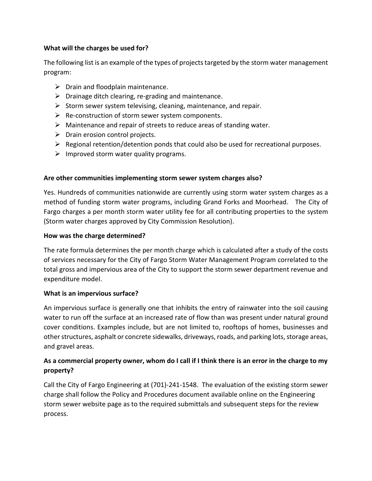## **What will the charges be used for?**

The following list is an example of the types of projects targeted by the storm water management program:

- $\triangleright$  Drain and floodplain maintenance.
- $\triangleright$  Drainage ditch clearing, re-grading and maintenance.
- $\triangleright$  Storm sewer system televising, cleaning, maintenance, and repair.
- $\triangleright$  Re-construction of storm sewer system components.
- $\triangleright$  Maintenance and repair of streets to reduce areas of standing water.
- $\triangleright$  Drain erosion control projects.
- $\triangleright$  Regional retention/detention ponds that could also be used for recreational purposes.
- $\triangleright$  Improved storm water quality programs.

## **Are other communities implementing storm sewer system charges also?**

Yes. Hundreds of communities nationwide are currently using storm water system charges as a method of funding storm water programs, including Grand Forks and Moorhead. The City of Fargo charges a per month storm water utility fee for all contributing properties to the system (Storm water charges approved by City Commission Resolution).

### **How was the charge determined?**

The rate formula determines the per month charge which is calculated after a study of the costs of services necessary for the City of Fargo Storm Water Management Program correlated to the total gross and impervious area of the City to support the storm sewer department revenue and expenditure model.

#### **What is an impervious surface?**

An impervious surface is generally one that inhibits the entry of rainwater into the soil causing water to run off the surface at an increased rate of flow than was present under natural ground cover conditions. Examples include, but are not limited to, rooftops of homes, businesses and other structures, asphalt or concrete sidewalks, driveways, roads, and parking lots, storage areas, and gravel areas.

## **As a commercial property owner, whom do I call if I think there is an error in the charge to my property?**

Call the City of Fargo Engineering at (701)-241-1548. The evaluation of the existing storm sewer charge shall follow the Policy and Procedures document available online on the Engineering storm sewer website page as to the required submittals and subsequent steps for the review process.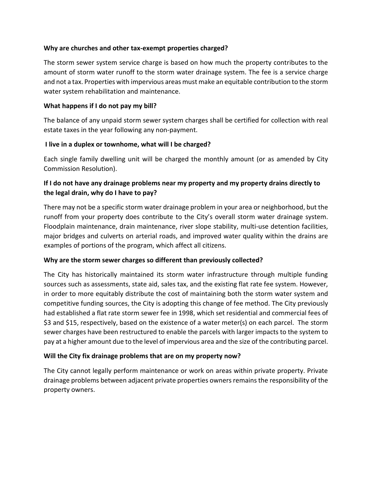### **Why are churches and other tax-exempt properties charged?**

The storm sewer system service charge is based on how much the property contributes to the amount of storm water runoff to the storm water drainage system. The fee is a service charge and not a tax. Properties with impervious areas must make an equitable contribution to the storm water system rehabilitation and maintenance.

### **What happens if I do not pay my bill?**

The balance of any unpaid storm sewer system charges shall be certified for collection with real estate taxes in the year following any non-payment.

### **I live in a duplex or townhome, what will I be charged?**

Each single family dwelling unit will be charged the monthly amount (or as amended by City Commission Resolution).

## **If I do not have any drainage problems near my property and my property drains directly to the legal drain, why do I have to pay?**

There may not be a specific storm water drainage problem in your area or neighborhood, but the runoff from your property does contribute to the City's overall storm water drainage system. Floodplain maintenance, drain maintenance, river slope stability, multi-use detention facilities, major bridges and culverts on arterial roads, and improved water quality within the drains are examples of portions of the program, which affect all citizens.

## **Why are the storm sewer charges so different than previously collected?**

The City has historically maintained its storm water infrastructure through multiple funding sources such as assessments, state aid, sales tax, and the existing flat rate fee system. However, in order to more equitably distribute the cost of maintaining both the storm water system and competitive funding sources, the City is adopting this change of fee method. The City previously had established a flat rate storm sewer fee in 1998, which set residential and commercial fees of \$3 and \$15, respectively, based on the existence of a water meter(s) on each parcel. The storm sewer charges have been restructured to enable the parcels with larger impacts to the system to pay at a higher amount due to the level of impervious area and the size of the contributing parcel.

## **Will the City fix drainage problems that are on my property now?**

The City cannot legally perform maintenance or work on areas within private property. Private drainage problems between adjacent private properties owners remains the responsibility of the property owners.